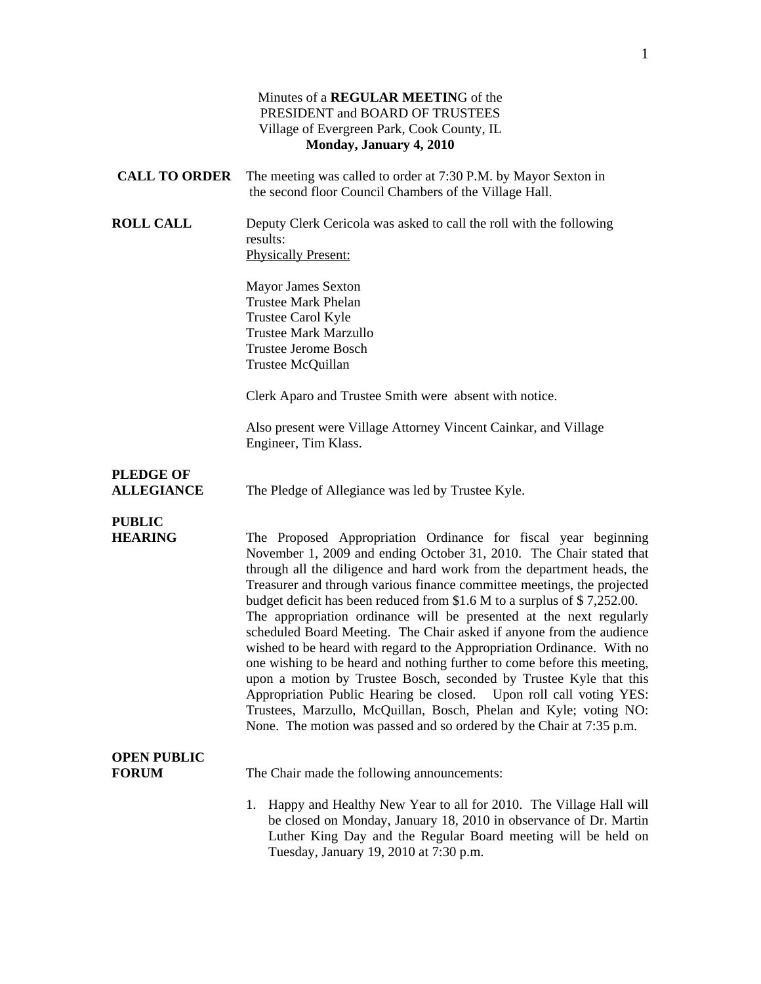|                                       | Minutes of a REGULAR MEETING of the<br>PRESIDENT and BOARD OF TRUSTEES<br>Village of Evergreen Park, Cook County, IL<br>Monday, January 4, 2010                                                                                                                                                                                                                                                                                                                                                                                                                                                                                                                                                                                                                                                                                                                                                                                                                      |
|---------------------------------------|----------------------------------------------------------------------------------------------------------------------------------------------------------------------------------------------------------------------------------------------------------------------------------------------------------------------------------------------------------------------------------------------------------------------------------------------------------------------------------------------------------------------------------------------------------------------------------------------------------------------------------------------------------------------------------------------------------------------------------------------------------------------------------------------------------------------------------------------------------------------------------------------------------------------------------------------------------------------|
| <b>CALL TO ORDER</b>                  | The meeting was called to order at 7:30 P.M. by Mayor Sexton in<br>the second floor Council Chambers of the Village Hall.                                                                                                                                                                                                                                                                                                                                                                                                                                                                                                                                                                                                                                                                                                                                                                                                                                            |
| <b>ROLL CALL</b>                      | Deputy Clerk Cericola was asked to call the roll with the following<br>results:<br><b>Physically Present:</b>                                                                                                                                                                                                                                                                                                                                                                                                                                                                                                                                                                                                                                                                                                                                                                                                                                                        |
|                                       | <b>Mayor James Sexton</b><br><b>Trustee Mark Phelan</b><br>Trustee Carol Kyle<br><b>Trustee Mark Marzullo</b><br><b>Trustee Jerome Bosch</b><br>Trustee McQuillan                                                                                                                                                                                                                                                                                                                                                                                                                                                                                                                                                                                                                                                                                                                                                                                                    |
|                                       | Clerk Aparo and Trustee Smith were absent with notice.                                                                                                                                                                                                                                                                                                                                                                                                                                                                                                                                                                                                                                                                                                                                                                                                                                                                                                               |
|                                       | Also present were Village Attorney Vincent Cainkar, and Village<br>Engineer, Tim Klass.                                                                                                                                                                                                                                                                                                                                                                                                                                                                                                                                                                                                                                                                                                                                                                                                                                                                              |
| <b>PLEDGE OF</b><br><b>ALLEGIANCE</b> | The Pledge of Allegiance was led by Trustee Kyle.                                                                                                                                                                                                                                                                                                                                                                                                                                                                                                                                                                                                                                                                                                                                                                                                                                                                                                                    |
| <b>PUBLIC</b><br><b>HEARING</b>       | The Proposed Appropriation Ordinance for fiscal year beginning<br>November 1, 2009 and ending October 31, 2010. The Chair stated that<br>through all the diligence and hard work from the department heads, the<br>Treasurer and through various finance committee meetings, the projected<br>budget deficit has been reduced from \$1.6 M to a surplus of \$7,252.00.<br>The appropriation ordinance will be presented at the next regularly<br>scheduled Board Meeting. The Chair asked if anyone from the audience<br>wished to be heard with regard to the Appropriation Ordinance. With no<br>one wishing to be heard and nothing further to come before this meeting,<br>upon a motion by Trustee Bosch, seconded by Trustee Kyle that this<br>Appropriation Public Hearing be closed. Upon roll call voting YES:<br>Trustees, Marzullo, McQuillan, Bosch, Phelan and Kyle; voting NO:<br>None. The motion was passed and so ordered by the Chair at 7:35 p.m. |
| <b>OPEN PUBLIC</b><br><b>FORUM</b>    | The Chair made the following announcements:                                                                                                                                                                                                                                                                                                                                                                                                                                                                                                                                                                                                                                                                                                                                                                                                                                                                                                                          |
|                                       | Happy and Healthy New Year to all for 2010. The Village Hall will<br>1.<br>be closed on Monday, January 18, 2010 in observance of Dr. Martin<br>Luther King Day and the Regular Board meeting will be held on<br>Tuesday, January 19, 2010 at 7:30 p.m.                                                                                                                                                                                                                                                                                                                                                                                                                                                                                                                                                                                                                                                                                                              |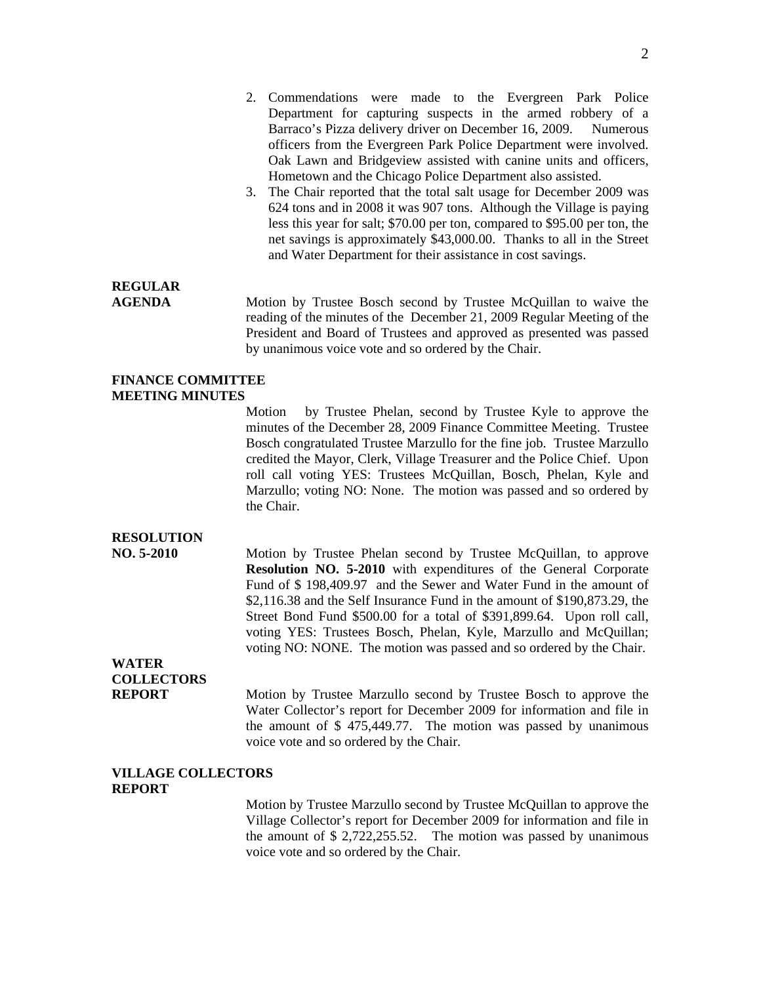- 2. Commendations were made to the Evergreen Park Police Department for capturing suspects in the armed robbery of a Barraco's Pizza delivery driver on December 16, 2009. Numerous officers from the Evergreen Park Police Department were involved. Oak Lawn and Bridgeview assisted with canine units and officers, Hometown and the Chicago Police Department also assisted.
- 3. The Chair reported that the total salt usage for December 2009 was 624 tons and in 2008 it was 907 tons. Although the Village is paying less this year for salt; \$70.00 per ton, compared to \$95.00 per ton, the net savings is approximately \$43,000.00. Thanks to all in the Street and Water Department for their assistance in cost savings.

### **REGULAR**

**AGENDA** Motion by Trustee Bosch second by Trustee McQuillan to waive the reading of the minutes of the December 21, 2009 Regular Meeting of the President and Board of Trustees and approved as presented was passed by unanimous voice vote and so ordered by the Chair.

#### **FINANCE COMMITTEE MEETING MINUTES**

Motion by Trustee Phelan, second by Trustee Kyle to approve the minutes of the December 28, 2009 Finance Committee Meeting. Trustee Bosch congratulated Trustee Marzullo for the fine job. Trustee Marzullo credited the Mayor, Clerk, Village Treasurer and the Police Chief. Upon roll call voting YES: Trustees McQuillan, Bosch, Phelan, Kyle and Marzullo; voting NO: None. The motion was passed and so ordered by the Chair.

#### **RESOLUTION**

**NO. 5-2010** Motion by Trustee Phelan second by Trustee McQuillan, to approve **Resolution NO. 5-2010** with expenditures of the General Corporate Fund of \$ 198,409.97 and the Sewer and Water Fund in the amount of \$2,116.38 and the Self Insurance Fund in the amount of \$190,873.29, the Street Bond Fund \$500.00 for a total of \$391,899.64. Upon roll call, voting YES: Trustees Bosch, Phelan, Kyle, Marzullo and McQuillan; voting NO: NONE. The motion was passed and so ordered by the Chair.

## **WATER COLLECTORS**

**REPORT** Motion by Trustee Marzullo second by Trustee Bosch to approve the Water Collector's report for December 2009 for information and file in the amount of \$ 475,449.77. The motion was passed by unanimous voice vote and so ordered by the Chair.

#### **VILLAGE COLLECTORS REPORT**

Motion by Trustee Marzullo second by Trustee McQuillan to approve the Village Collector's report for December 2009 for information and file in the amount of \$ 2,722,255.52. The motion was passed by unanimous voice vote and so ordered by the Chair.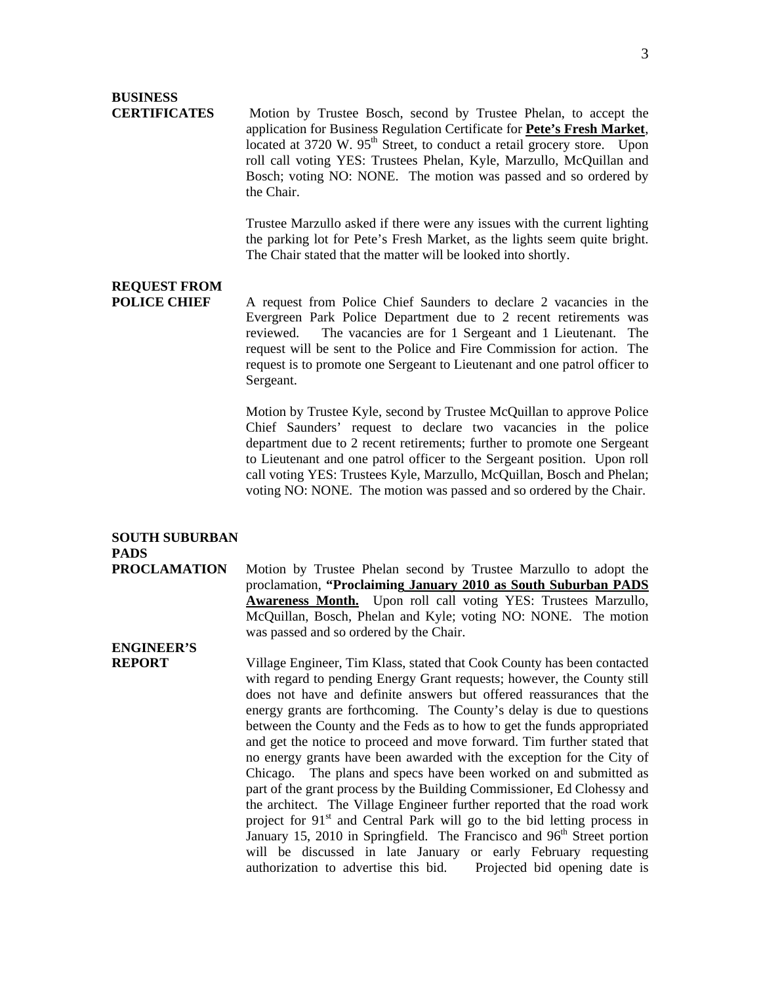# **BUSINESS**

**CERTIFICATES** Motion by Trustee Bosch, second by Trustee Phelan, to accept the application for Business Regulation Certificate for **Pete's Fresh Market**, located at 3720 W.  $95<sup>th</sup>$  Street, to conduct a retail grocery store. Upon roll call voting YES: Trustees Phelan, Kyle, Marzullo, McQuillan and Bosch; voting NO: NONE. The motion was passed and so ordered by the Chair.

> Trustee Marzullo asked if there were any issues with the current lighting the parking lot for Pete's Fresh Market, as the lights seem quite bright. The Chair stated that the matter will be looked into shortly.

# **REQUEST FROM**

**POLICE CHIEF** A request from Police Chief Saunders to declare 2 vacancies in the Evergreen Park Police Department due to 2 recent retirements was reviewed. The vacancies are for 1 Sergeant and 1 Lieutenant. The request will be sent to the Police and Fire Commission for action. The request is to promote one Sergeant to Lieutenant and one patrol officer to Sergeant.

> Motion by Trustee Kyle, second by Trustee McQuillan to approve Police Chief Saunders' request to declare two vacancies in the police department due to 2 recent retirements; further to promote one Sergeant to Lieutenant and one patrol officer to the Sergeant position. Upon roll call voting YES: Trustees Kyle, Marzullo, McQuillan, Bosch and Phelan; voting NO: NONE. The motion was passed and so ordered by the Chair.

### **SOUTH SUBURBAN PADS**

**PROCLAMATION** Motion by Trustee Phelan second by Trustee Marzullo to adopt the proclamation, **"Proclaiming January 2010 as South Suburban PADS Awareness Month.** Upon roll call voting YES: Trustees Marzullo, McQuillan, Bosch, Phelan and Kyle; voting NO: NONE. The motion was passed and so ordered by the Chair.

# **ENGINEER'S**

**REPORT** Village Engineer, Tim Klass, stated that Cook County has been contacted with regard to pending Energy Grant requests; however, the County still does not have and definite answers but offered reassurances that the energy grants are forthcoming. The County's delay is due to questions between the County and the Feds as to how to get the funds appropriated and get the notice to proceed and move forward. Tim further stated that no energy grants have been awarded with the exception for the City of Chicago. The plans and specs have been worked on and submitted as part of the grant process by the Building Commissioner, Ed Clohessy and the architect. The Village Engineer further reported that the road work project for  $91<sup>st</sup>$  and Central Park will go to the bid letting process in January 15, 2010 in Springfield. The Francisco and 96<sup>th</sup> Street portion will be discussed in late January or early February requesting authorization to advertise this bid. Projected bid opening date is